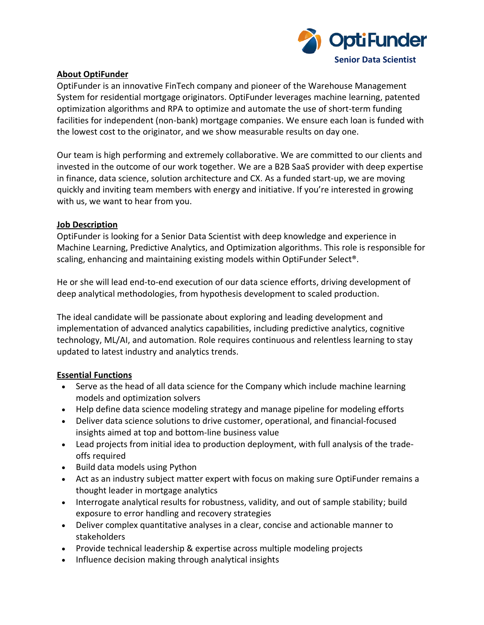

#### **About OptiFunder**

OptiFunder is an innovative FinTech company and pioneer of the Warehouse Management System for residential mortgage originators. OptiFunder leverages machine learning, patented optimization algorithms and RPA to optimize and automate the use of short-term funding facilities for independent (non-bank) mortgage companies. We ensure each loan is funded with the lowest cost to the originator, and we show measurable results on day one.

Our team is high performing and extremely collaborative. We are committed to our clients and invested in the outcome of our work together. We are a B2B SaaS provider with deep expertise in finance, data science, solution architecture and CX. As a funded start-up, we are moving quickly and inviting team members with energy and initiative. If you're interested in growing with us, we want to hear from you.

#### **Job Description**

OptiFunder is looking for a Senior Data Scientist with deep knowledge and experience in Machine Learning, Predictive Analytics, and Optimization algorithms. This role is responsible for scaling, enhancing and maintaining existing models within OptiFunder Select®.

He or she will lead end-to-end execution of our data science efforts, driving development of deep analytical methodologies, from hypothesis development to scaled production.

The ideal candidate will be passionate about exploring and leading development and implementation of advanced analytics capabilities, including predictive analytics, cognitive technology, ML/AI, and automation. Role requires continuous and relentless learning to stay updated to latest industry and analytics trends.

# **Essential Functions**

- Serve as the head of all data science for the Company which include machine learning models and optimization solvers
- Help define data science modeling strategy and manage pipeline for modeling efforts
- Deliver data science solutions to drive customer, operational, and financial-focused insights aimed at top and bottom-line business value
- Lead projects from initial idea to production deployment, with full analysis of the tradeoffs required
- Build data models using Python
- Act as an industry subject matter expert with focus on making sure OptiFunder remains a thought leader in mortgage analytics
- Interrogate analytical results for robustness, validity, and out of sample stability; build exposure to error handling and recovery strategies
- Deliver complex quantitative analyses in a clear, concise and actionable manner to stakeholders
- Provide technical leadership & expertise across multiple modeling projects
- Influence decision making through analytical insights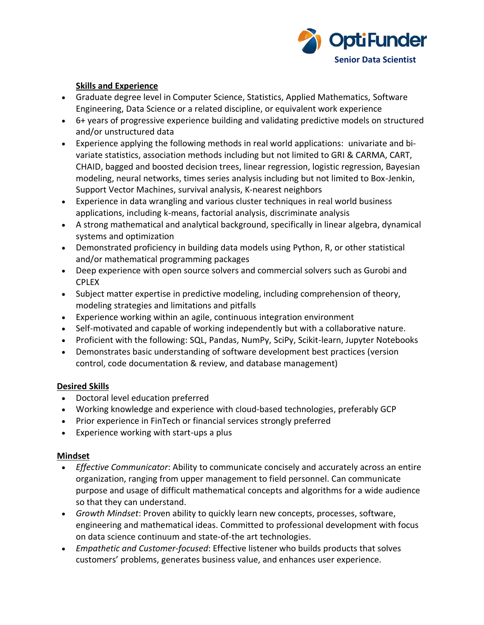

### **Skills and Experience**

- Graduate degree level in Computer Science, Statistics, Applied Mathematics, Software Engineering, Data Science or a related discipline, or equivalent work experience
- 6+ years of progressive experience building and validating predictive models on structured and/or unstructured data
- Experience applying the following methods in real world applications: univariate and bivariate statistics, association methods including but not limited to GRI & CARMA, CART, CHAID, bagged and boosted decision trees, linear regression, logistic regression, Bayesian modeling, neural networks, times series analysis including but not limited to Box-Jenkin, Support Vector Machines, survival analysis, K-nearest neighbors
- Experience in data wrangling and various cluster techniques in real world business applications, including k-means, factorial analysis, discriminate analysis
- A strong mathematical and analytical background, specifically in linear algebra, dynamical systems and optimization
- Demonstrated proficiency in building data models using Python, R, or other statistical and/or mathematical programming packages
- Deep experience with open source solvers and commercial solvers such as Gurobi and CPLEX
- Subject matter expertise in predictive modeling, including comprehension of theory, modeling strategies and limitations and pitfalls
- Experience working within an agile, continuous integration environment
- Self-motivated and capable of working independently but with a collaborative nature.
- Proficient with the following: SQL, Pandas, NumPy, SciPy, Scikit-learn, Jupyter Notebooks
- Demonstrates basic understanding of software development best practices (version control, code documentation & review, and database management)

# **Desired Skills**

- Doctoral level education preferred
- Working knowledge and experience with cloud-based technologies, preferably GCP
- Prior experience in FinTech or financial services strongly preferred
- Experience working with start-ups a plus

# **Mindset**

- *Effective Communicator*: Ability to communicate concisely and accurately across an entire organization, ranging from upper management to field personnel. Can communicate purpose and usage of difficult mathematical concepts and algorithms for a wide audience so that they can understand.
- *Growth Mindset*: Proven ability to quickly learn new concepts, processes, software, engineering and mathematical ideas. Committed to professional development with focus on data science continuum and state-of-the art technologies.
- *Empathetic and Customer-focused*: Effective listener who builds products that solves customers' problems, generates business value, and enhances user experience.